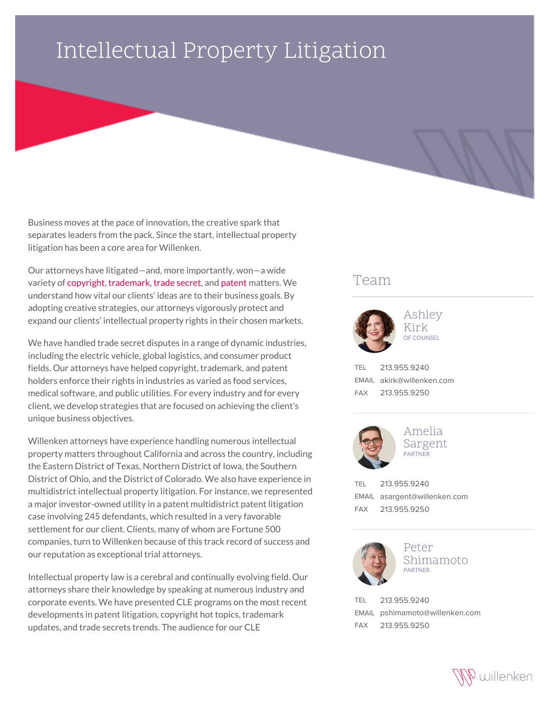## Intellectual Property Litigation

Business moves at the pace of innovation, the creative spark that separates leaders from the pack. Since the start, intellectual property litigation has been a core area for Willenken.

Our attorneys have litigated—and, more importantly, won—a wide variety of [copyright,](https://willenken.com/practice-area/intellectual-property-litigation/copyright/) [trademark,](https://willenken.com/practice-area/intellectual-property-litigation/trademark-and-trade-dress/) [trade secret,](https://willenken.com/practice-area/intellectual-property-litigation/trade-secrets-and-employee-mobility/) and [patent](https://willenken.com/practice-area/intellectual-property-litigation/patent-litigation/) matters. We understand how vital our clients' ideas are to their business goals. By adopting creative strategies, our attorneys vigorously protect and expand our clients' intellectual property rights in their chosen markets.

We have handled trade secret disputes in a range of dynamic industries, including the electric vehicle, global logistics, and consumer product fields. Our attorneys have helped copyright, trademark, and patent holders enforce their rights in industries as varied as food services, medical software, and public utilities. For every industry and for every client, we develop strategies that are focused on achieving the client's unique business objectives.

Willenken attorneys have experience handling numerous intellectual property matters throughout California and across the country, including the Eastern District of Texas, Northern District of Iowa, the Southern District of Ohio, and the District of Colorado. We also have experience in multidistrict intellectual property litigation. For instance, we represented a major investor-owned utility in a patent multidistrict patent litigation case involving 245 defendants, which resulted in a very favorable settlement for our client. Clients, many of whom are Fortune 500 companies, turn to Willenken because of this track record of success and our reputation as exceptional trial attorneys.

Intellectual property law is a cerebral and continually evolving field. Our attorneys share their knowledge by speaking at numerous industry and corporate events. We have presented CLE programs on the most recent developments in patent litigation, copyright hot topics, trademark updates, and trade secrets trends. The audience for our CLE

## Team



Ashley Kirk OF COUNSEL

TEL 213.955.9240 EMAIL akirk@willenken.com FAX 213.955.9250



Amelia Sargent PARTNER

TEL 213.955.9240 EMAIL asargent@willenken.com FAX 213.955.9250



Peter Shimamoto PARTNER

TEL 213.955.9240 EMAIL pshimamoto@willenken.com FAX 213.955.9250